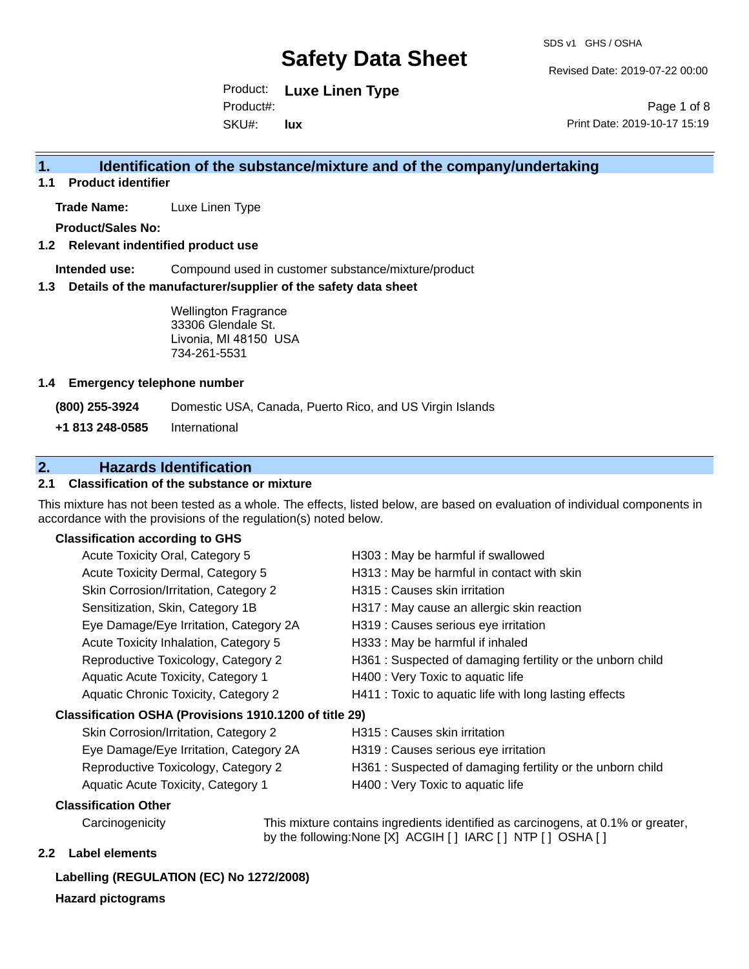Revised Date: 2019-07-22 00:00

Product: **Luxe Linen Type** SKU#: Product#: **lux**

Page 1 of 8 Print Date: 2019-10-17 15:19

### **1. Identification of the substance/mixture and of the company/undertaking**

**1.1 Product identifier**

**Trade Name:** Luxe Linen Type

**Product/Sales No:**

#### **1.2 Relevant indentified product use**

**Intended use:** Compound used in customer substance/mixture/product

#### **1.3 Details of the manufacturer/supplier of the safety data sheet**

Wellington Fragrance 33306 Glendale St. Livonia, MI 48150 USA 734-261-5531

#### **1.4 Emergency telephone number**

**(800) 255-3924** Domestic USA, Canada, Puerto Rico, and US Virgin Islands

**+1 813 248-0585** International

## **2. Hazards Identification**

#### **2.1 Classification of the substance or mixture**

This mixture has not been tested as a whole. The effects, listed below, are based on evaluation of individual components in accordance with the provisions of the regulation(s) noted below.

#### **Classification according to GHS**

|                                                        | Acute Toxicity Oral, Category 5        | H303 : May be harmful if swallowed                        |  |
|--------------------------------------------------------|----------------------------------------|-----------------------------------------------------------|--|
|                                                        | Acute Toxicity Dermal, Category 5      | H313 : May be harmful in contact with skin                |  |
|                                                        | Skin Corrosion/Irritation, Category 2  | H315 : Causes skin irritation                             |  |
|                                                        | Sensitization, Skin, Category 1B       | H317 : May cause an allergic skin reaction                |  |
|                                                        | Eye Damage/Eye Irritation, Category 2A | H319 : Causes serious eye irritation                      |  |
|                                                        | Acute Toxicity Inhalation, Category 5  | H333: May be harmful if inhaled                           |  |
|                                                        | Reproductive Toxicology, Category 2    | H361: Suspected of damaging fertility or the unborn child |  |
|                                                        | Aquatic Acute Toxicity, Category 1     | H400 : Very Toxic to aquatic life                         |  |
|                                                        | Aquatic Chronic Toxicity, Category 2   | H411 : Toxic to aquatic life with long lasting effects    |  |
| Classification OSHA (Provisions 1910.1200 of title 29) |                                        |                                                           |  |
|                                                        | Skin Corrosion/Irritation, Category 2  | H315 : Causes skin irritation                             |  |
|                                                        | Eye Damage/Eye Irritation, Category 2A | H319 : Causes serious eye irritation                      |  |
|                                                        | .                                      |                                                           |  |

- Reproductive Toxicology, Category 2 H361 : Suspected of damaging fertility or the unborn child
- 
- Aquatic Acute Toxicity, Category 1 H400 : Very Toxic to aquatic life

#### **Classification Other**

Carcinogenicity This mixture contains ingredients identified as carcinogens, at 0.1% or greater, by the following:None [X] ACGIH [ ] IARC [ ] NTP [ ] OSHA [ ]

#### **2.2 Label elements**

#### **Labelling (REGULATION (EC) No 1272/2008)**

**Hazard pictograms**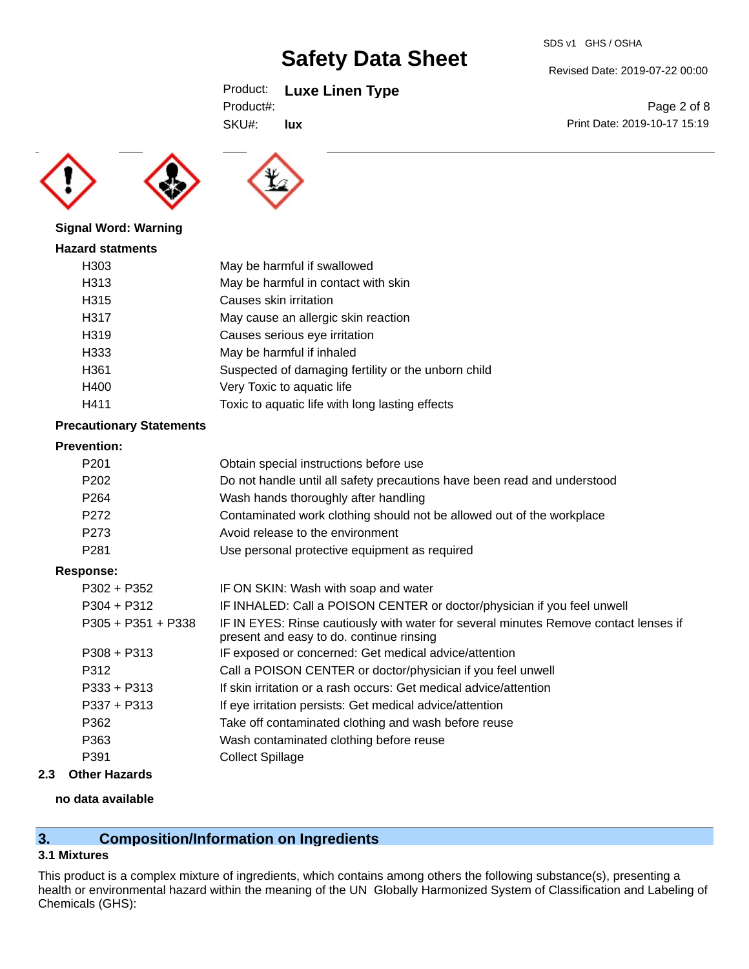## Product: **Luxe Linen Type**

| Product#: |
|-----------|
|-----------|

SKU#:





Revised Date: 2019-07-22 00:00

SDS v1 GHS / OSHA

Print Date: 2019-10-17 15:19





#### **Signal Word: Warning**

| <b>Hazard statments</b> |                                                     |
|-------------------------|-----------------------------------------------------|
| H303                    | May be harmful if swallowed                         |
| H313                    | May be harmful in contact with skin                 |
| H315                    | Causes skin irritation                              |
| H317                    | May cause an allergic skin reaction                 |
| H <sub>3</sub> 19       | Causes serious eye irritation                       |
| H333                    | May be harmful if inhaled                           |
| H361                    | Suspected of damaging fertility or the unborn child |
| H400                    | Very Toxic to aquatic life                          |
| H411                    | Toxic to aquatic life with long lasting effects     |

### **Precautionary Statements**

#### **Prevention:**

| P <sub>201</sub>     | Obtain special instructions before use                                                                                           |
|----------------------|----------------------------------------------------------------------------------------------------------------------------------|
| P <sub>202</sub>     | Do not handle until all safety precautions have been read and understood                                                         |
| P <sub>264</sub>     | Wash hands thoroughly after handling                                                                                             |
| P272                 | Contaminated work clothing should not be allowed out of the workplace                                                            |
| P273                 | Avoid release to the environment                                                                                                 |
| P <sub>281</sub>     | Use personal protective equipment as required                                                                                    |
| <b>Response:</b>     |                                                                                                                                  |
| $P302 + P352$        | IF ON SKIN: Wash with soap and water                                                                                             |
| $P304 + P312$        | IF INHALED: Call a POISON CENTER or doctor/physician if you feel unwell                                                          |
| $P305 + P351 + P338$ | IF IN EYES: Rinse cautiously with water for several minutes Remove contact lenses if<br>present and easy to do. continue rinsing |
| $P308 + P313$        | IF exposed or concerned: Get medical advice/attention                                                                            |
| P312                 | Call a POISON CENTER or doctor/physician if you feel unwell                                                                      |
| $P333 + P313$        | If skin irritation or a rash occurs: Get medical advice/attention                                                                |
| $P337 + P313$        | If eye irritation persists: Get medical advice/attention                                                                         |
| P362                 | Take off contaminated clothing and wash before reuse                                                                             |
| P363                 | Wash contaminated clothing before reuse                                                                                          |
| P391                 | <b>Collect Spillage</b>                                                                                                          |
|                      |                                                                                                                                  |

## **2.3 Other Hazards**

#### **no data available**

## **3. Composition/Information on Ingredients**

### **3.1 Mixtures**

This product is a complex mixture of ingredients, which contains among others the following substance(s), presenting a health or environmental hazard within the meaning of the UN Globally Harmonized System of Classification and Labeling of Chemicals (GHS):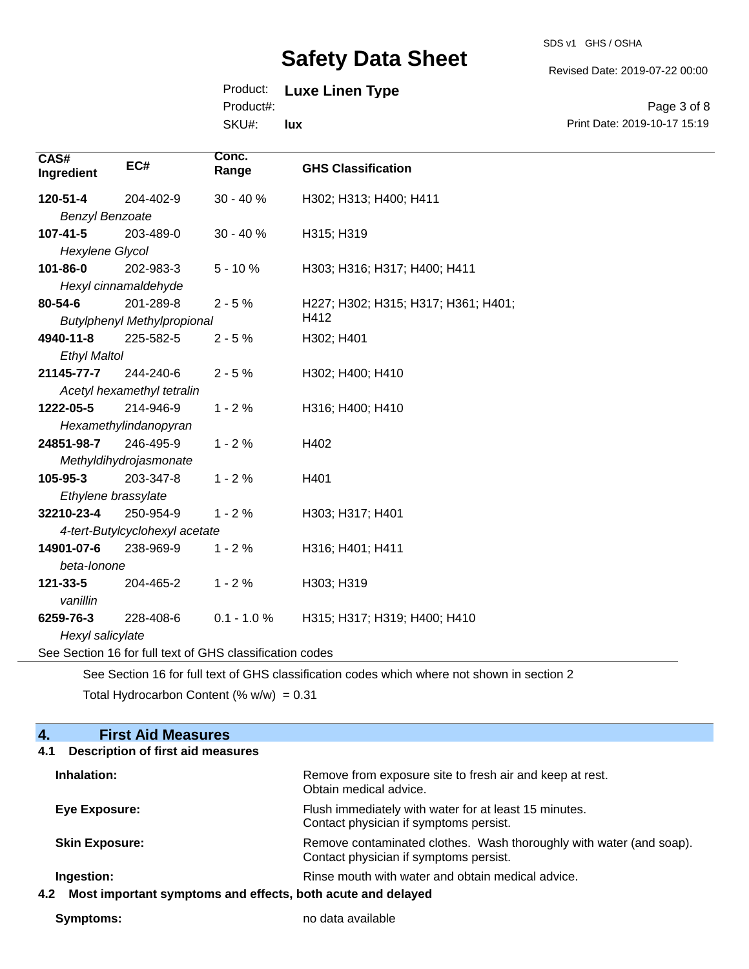SDS v1 GHS / OSHA

Revised Date: 2019-07-22 00:00

## Product: **Luxe Linen Type**

Product#:

SKU#: **lux**

Page 3 of 8 Print Date: 2019-10-17 15:19

| CAS#<br>Ingredient                                                                          | EC#                                | Conc.<br>Range | <b>GHS Classification</b>           |
|---------------------------------------------------------------------------------------------|------------------------------------|----------------|-------------------------------------|
| 120-51-4                                                                                    | 204-402-9                          | $30 - 40%$     | H302; H313; H400; H411              |
| <b>Benzyl Benzoate</b>                                                                      |                                    |                |                                     |
| 107-41-5                                                                                    | 203-489-0                          | $30 - 40%$     | H315; H319                          |
| Hexylene Glycol                                                                             |                                    |                |                                     |
| 101-86-0                                                                                    | 202-983-3                          | $5 - 10%$      | H303; H316; H317; H400; H411        |
|                                                                                             | Hexyl cinnamaldehyde               |                |                                     |
| 80-54-6                                                                                     | 201-289-8                          | $2 - 5%$       | H227; H302; H315; H317; H361; H401; |
|                                                                                             | <b>Butylphenyl Methylpropional</b> |                | H412                                |
| 4940-11-8                                                                                   | 225-582-5                          | $2 - 5%$       | H302; H401                          |
| <b>Ethyl Maltol</b>                                                                         |                                    |                |                                     |
| 21145-77-7                                                                                  | 244-240-6                          | $2 - 5%$       | H302; H400; H410                    |
|                                                                                             | Acetyl hexamethyl tetralin         |                |                                     |
| 1222-05-5                                                                                   | 214-946-9                          | $1 - 2%$       | H316; H400; H410                    |
|                                                                                             | Hexamethylindanopyran              |                |                                     |
| 24851-98-7                                                                                  | 246-495-9                          | $1 - 2%$       | H402                                |
| Methyldihydrojasmonate                                                                      |                                    |                |                                     |
| 105-95-3                                                                                    | 203-347-8                          | $1 - 2%$       | H401                                |
| Ethylene brassylate                                                                         |                                    |                |                                     |
| 32210-23-4                                                                                  | 250-954-9                          | $1 - 2%$       | H303; H317; H401                    |
| 4-tert-Butylcyclohexyl acetate                                                              |                                    |                |                                     |
| 14901-07-6                                                                                  | 238-969-9                          | $1 - 2%$       | H316; H401; H411                    |
| beta-lonone                                                                                 |                                    |                |                                     |
| 121-33-5                                                                                    | 204-465-2                          | $1 - 2%$       | H303; H319                          |
| vanillin                                                                                    |                                    |                |                                     |
| 6259-76-3                                                                                   | 228-408-6                          | $0.1 - 1.0 %$  | H315; H317; H319; H400; H410        |
| Hexyl salicylate                                                                            |                                    |                |                                     |
| See Section 16 for full text of GHS classification codes                                    |                                    |                |                                     |
| See Section 16 for full toyt of CHS closeification codes which where not shown in section 2 |                                    |                |                                     |

See Section 16 for full text of GHS classification codes which where not shown in section 2

Total Hydrocarbon Content (%  $w/w$ ) = 0.31

| <b>First Aid Measures</b><br>4.                                    |                                                                                                               |  |
|--------------------------------------------------------------------|---------------------------------------------------------------------------------------------------------------|--|
| <b>Description of first aid measures</b><br>4.1                    |                                                                                                               |  |
| Inhalation:                                                        | Remove from exposure site to fresh air and keep at rest.<br>Obtain medical advice.                            |  |
| Eye Exposure:                                                      | Flush immediately with water for at least 15 minutes.<br>Contact physician if symptoms persist.               |  |
| <b>Skin Exposure:</b>                                              | Remove contaminated clothes. Wash thoroughly with water (and soap).<br>Contact physician if symptoms persist. |  |
| Ingestion:                                                         | Rinse mouth with water and obtain medical advice.                                                             |  |
| Most important symptoms and effects, both acute and delayed<br>4.2 |                                                                                                               |  |

**Symptoms:** no data available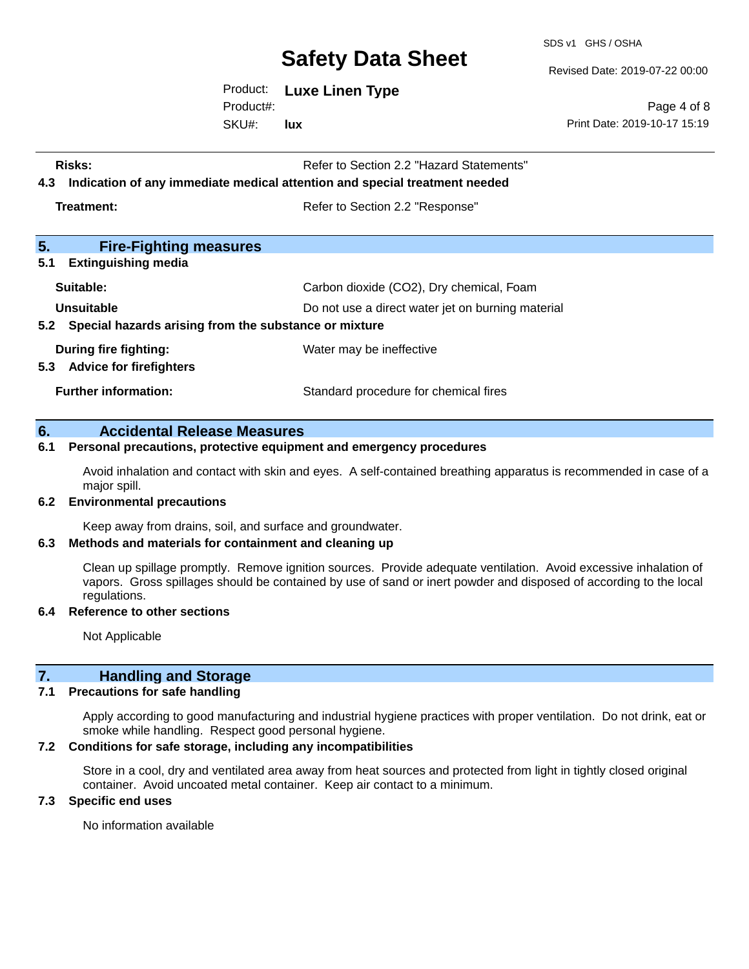SDS v1 GHS / OSHA

Revised Date: 2019-07-22 00:00

Product: **Luxe Linen Type**

SKU#: Product#: **lux**

Page 4 of 8 Print Date: 2019-10-17 15:19

| Risks:<br>Indication of any immediate medical attention and special treatment needed<br>4.3                                  | Refer to Section 2.2 "Hazard Statements" |  |
|------------------------------------------------------------------------------------------------------------------------------|------------------------------------------|--|
| Treatment:                                                                                                                   | Refer to Section 2.2 "Response"          |  |
| 5.<br><b>Fire-Fighting measures</b>                                                                                          |                                          |  |
| 5.1<br><b>Extinguishing media</b>                                                                                            |                                          |  |
| Suitable:                                                                                                                    | Carbon dioxide (CO2), Dry chemical, Foam |  |
| Unsuitable<br>Do not use a direct water jet on burning material<br>5.2 Special hazards arising from the substance or mixture |                                          |  |
| During fire fighting:<br><b>Advice for firefighters</b><br>5.3                                                               | Water may be ineffective                 |  |
| <b>Further information:</b>                                                                                                  | Standard procedure for chemical fires    |  |

#### **6. Accidental Release Measures**

#### **6.1 Personal precautions, protective equipment and emergency procedures**

Avoid inhalation and contact with skin and eyes. A self-contained breathing apparatus is recommended in case of a major spill.

#### **6.2 Environmental precautions**

Keep away from drains, soil, and surface and groundwater.

#### **6.3 Methods and materials for containment and cleaning up**

Clean up spillage promptly. Remove ignition sources. Provide adequate ventilation. Avoid excessive inhalation of vapors. Gross spillages should be contained by use of sand or inert powder and disposed of according to the local regulations.

### **6.4 Reference to other sections**

Not Applicable

### **7. Handling and Storage**

#### **7.1 Precautions for safe handling**

Apply according to good manufacturing and industrial hygiene practices with proper ventilation. Do not drink, eat or smoke while handling. Respect good personal hygiene.

#### **7.2 Conditions for safe storage, including any incompatibilities**

Store in a cool, dry and ventilated area away from heat sources and protected from light in tightly closed original container. Avoid uncoated metal container. Keep air contact to a minimum.

#### **7.3 Specific end uses**

No information available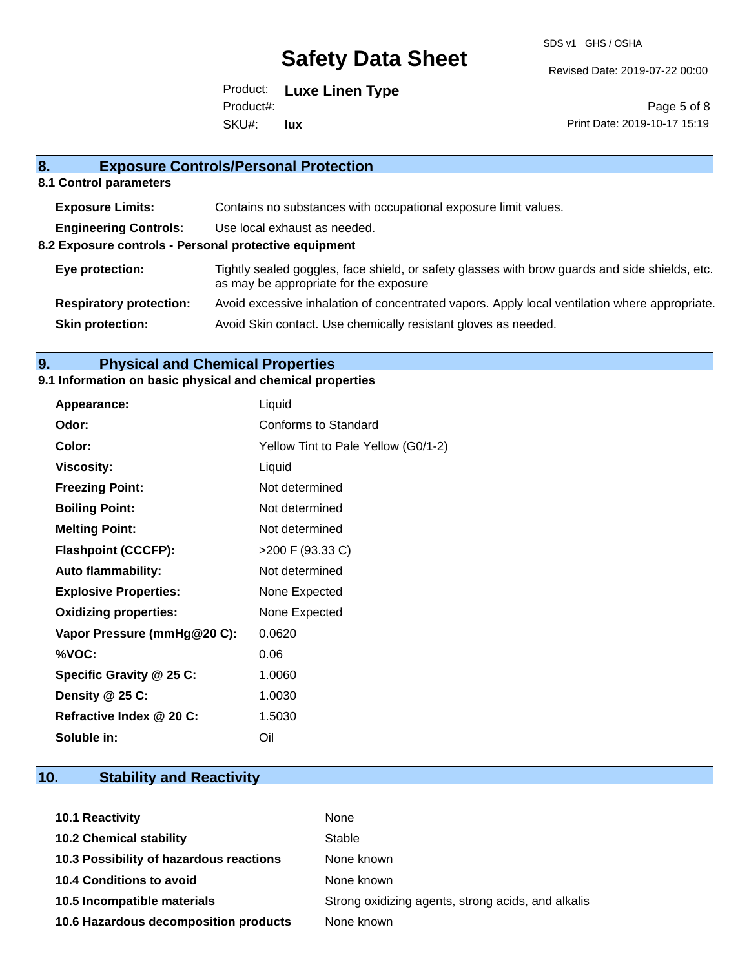SDS v1 GHS / OSHA

Revised Date: 2019-07-22 00:00

Product: **Luxe Linen Type** SKU#: Product#: **lux**

Page 5 of 8 Print Date: 2019-10-17 15:19

| 8.<br><b>Exposure Controls/Personal Protection</b>    |                                                                                                                                          |  |  |
|-------------------------------------------------------|------------------------------------------------------------------------------------------------------------------------------------------|--|--|
| 8.1 Control parameters                                |                                                                                                                                          |  |  |
| <b>Exposure Limits:</b>                               | Contains no substances with occupational exposure limit values.                                                                          |  |  |
| <b>Engineering Controls:</b>                          | Use local exhaust as needed.                                                                                                             |  |  |
| 8.2 Exposure controls - Personal protective equipment |                                                                                                                                          |  |  |
| Eye protection:                                       | Tightly sealed goggles, face shield, or safety glasses with brow guards and side shields, etc.<br>as may be appropriate for the exposure |  |  |
| <b>Respiratory protection:</b>                        | Avoid excessive inhalation of concentrated vapors. Apply local ventilation where appropriate.                                            |  |  |
| <b>Skin protection:</b>                               | Avoid Skin contact. Use chemically resistant gloves as needed.                                                                           |  |  |

## **9. Physical and Chemical Properties**

## **9.1 Information on basic physical and chemical properties**

| Appearance:                  | Liquid                              |
|------------------------------|-------------------------------------|
| Odor:                        | Conforms to Standard                |
| Color:                       | Yellow Tint to Pale Yellow (G0/1-2) |
| <b>Viscosity:</b>            | Liquid                              |
| <b>Freezing Point:</b>       | Not determined                      |
| <b>Boiling Point:</b>        | Not determined                      |
| <b>Melting Point:</b>        | Not determined                      |
| <b>Flashpoint (CCCFP):</b>   | >200 F (93.33 C)                    |
| <b>Auto flammability:</b>    | Not determined                      |
| <b>Explosive Properties:</b> | None Expected                       |
| <b>Oxidizing properties:</b> | None Expected                       |
| Vapor Pressure (mmHg@20 C):  | 0.0620                              |
| %VOC:                        | 0.06                                |
| Specific Gravity @ 25 C:     | 1.0060                              |
| Density @ 25 C:              | 1.0030                              |
| Refractive Index @ 20 C:     | 1.5030                              |
| Soluble in:                  | Oil                                 |

# **10. Stability and Reactivity**

| <b>10.1 Reactivity</b>                  | None                                               |
|-----------------------------------------|----------------------------------------------------|
| <b>10.2 Chemical stability</b>          | Stable                                             |
| 10.3 Possibility of hazardous reactions | None known                                         |
| <b>10.4 Conditions to avoid</b>         | None known                                         |
| 10.5 Incompatible materials             | Strong oxidizing agents, strong acids, and alkalis |
| 10.6 Hazardous decomposition products   | None known                                         |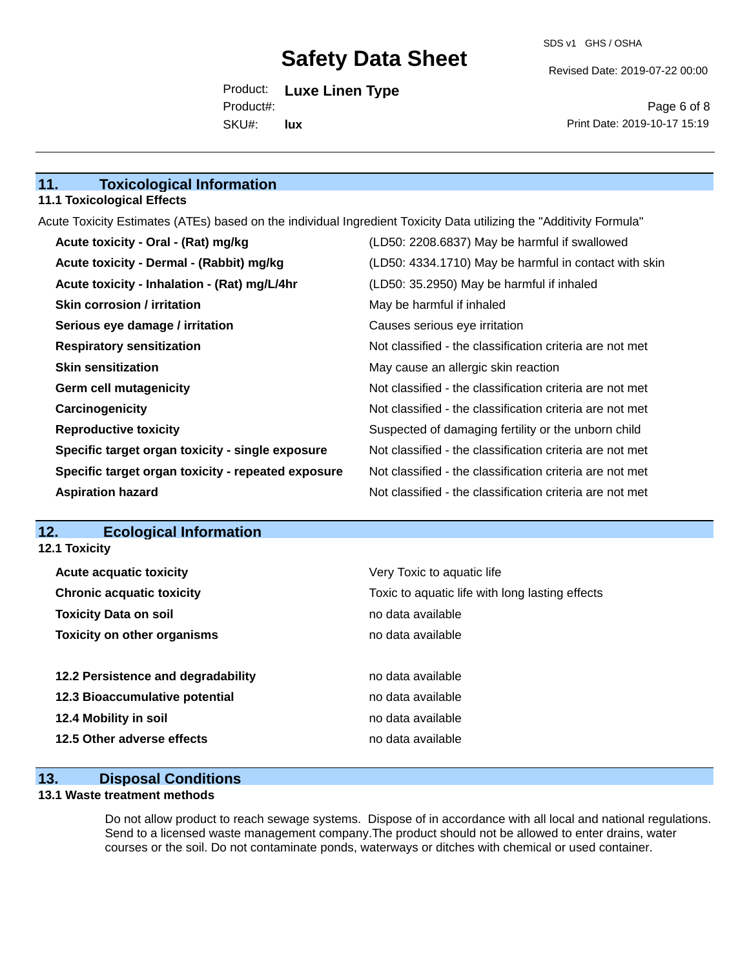Revised Date: 2019-07-22 00:00

Product: **Luxe Linen Type** SKU#: Product#: **lux**

Page 6 of 8 Print Date: 2019-10-17 15:19

## **11. Toxicological Information**

#### **11.1 Toxicological Effects**

Acute Toxicity Estimates (ATEs) based on the individual Ingredient Toxicity Data utilizing the "Additivity Formula"

| Acute toxicity - Oral - (Rat) mg/kg                | (LD50: 2208.6837) May be harmful if swallowed            |
|----------------------------------------------------|----------------------------------------------------------|
| Acute toxicity - Dermal - (Rabbit) mg/kg           | (LD50: 4334.1710) May be harmful in contact with skin    |
| Acute toxicity - Inhalation - (Rat) mg/L/4hr       | (LD50: 35.2950) May be harmful if inhaled                |
| <b>Skin corrosion / irritation</b>                 | May be harmful if inhaled                                |
| Serious eye damage / irritation                    | Causes serious eye irritation                            |
| <b>Respiratory sensitization</b>                   | Not classified - the classification criteria are not met |
| <b>Skin sensitization</b>                          | May cause an allergic skin reaction                      |
| <b>Germ cell mutagenicity</b>                      | Not classified - the classification criteria are not met |
| Carcinogenicity                                    | Not classified - the classification criteria are not met |
| <b>Reproductive toxicity</b>                       | Suspected of damaging fertility or the unborn child      |
| Specific target organ toxicity - single exposure   | Not classified - the classification criteria are not met |
| Specific target organ toxicity - repeated exposure | Not classified - the classification criteria are not met |
| <b>Aspiration hazard</b>                           | Not classified - the classification criteria are not met |

#### **12. Ecological Information 12.1 Toxicity**

| <b>Acute acquatic toxicity</b>     | Very Toxic to aquatic life                      |
|------------------------------------|-------------------------------------------------|
| <b>Chronic acquatic toxicity</b>   | Toxic to aquatic life with long lasting effects |
| <b>Toxicity Data on soil</b>       | no data available                               |
| <b>Toxicity on other organisms</b> | no data available                               |
|                                    |                                                 |
| 12.2 Persistence and degradability | no data available                               |
| 12.3 Bioaccumulative potential     | no data available                               |
| 12.4 Mobility in soil              | no data available                               |
| 12.5 Other adverse effects         | no data available                               |
|                                    |                                                 |

## **13. Disposal Conditions**

#### **13.1 Waste treatment methods**

Do not allow product to reach sewage systems. Dispose of in accordance with all local and national regulations. Send to a licensed waste management company.The product should not be allowed to enter drains, water courses or the soil. Do not contaminate ponds, waterways or ditches with chemical or used container.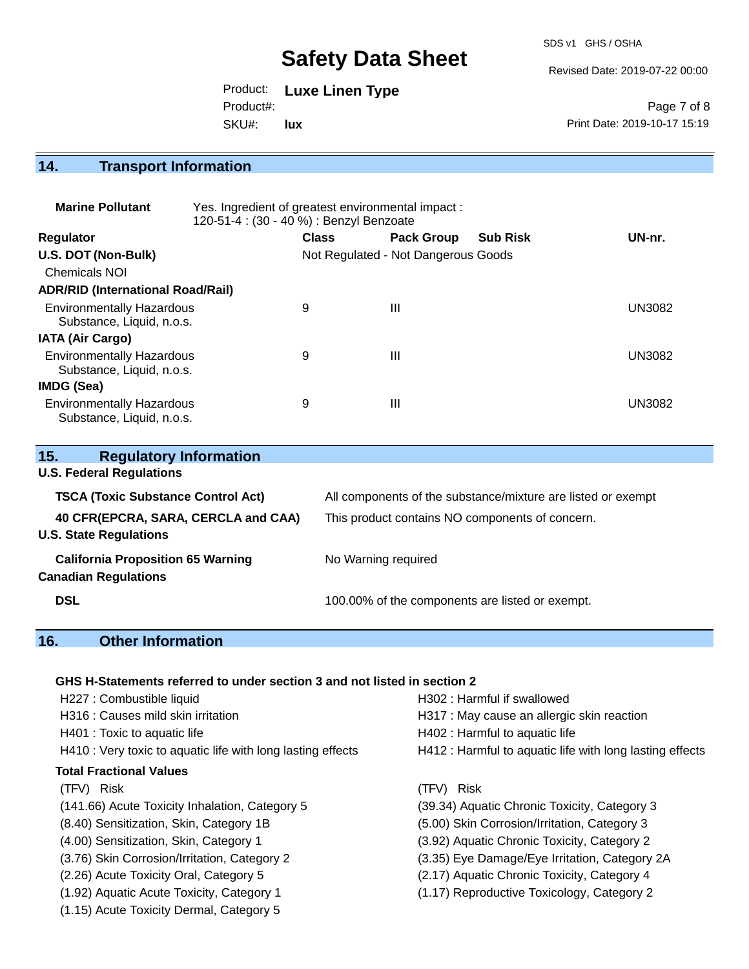SDS v1 GHS / OSHA

Revised Date: 2019-07-22 00:00

Product: **Luxe Linen Type** SKU#: Product#: **lux**

Page 7 of 8 Print Date: 2019-10-17 15:19

# **14. Transport Information**

| <b>Marine Pollutant</b>                                       | Yes. Ingredient of greatest environmental impact:<br>120-51-4 : (30 - 40 %) : Benzyl Benzoate |              |                                     |                 |               |
|---------------------------------------------------------------|-----------------------------------------------------------------------------------------------|--------------|-------------------------------------|-----------------|---------------|
| <b>Regulator</b>                                              |                                                                                               | <b>Class</b> | <b>Pack Group</b>                   | <b>Sub Risk</b> | UN-nr.        |
| U.S. DOT (Non-Bulk)                                           |                                                                                               |              | Not Regulated - Not Dangerous Goods |                 |               |
| <b>Chemicals NOI</b>                                          |                                                                                               |              |                                     |                 |               |
| <b>ADR/RID (International Road/Rail)</b>                      |                                                                                               |              |                                     |                 |               |
| <b>Environmentally Hazardous</b><br>Substance, Liquid, n.o.s. |                                                                                               | 9            | Ш                                   |                 | <b>UN3082</b> |
| <b>IATA (Air Cargo)</b>                                       |                                                                                               |              |                                     |                 |               |
| <b>Environmentally Hazardous</b><br>Substance, Liquid, n.o.s. |                                                                                               | 9            | Ш                                   |                 | <b>UN3082</b> |
| IMDG (Sea)                                                    |                                                                                               |              |                                     |                 |               |
| <b>Environmentally Hazardous</b><br>Substance, Liquid, n.o.s. |                                                                                               | 9            | Ш                                   |                 | <b>UN3082</b> |

| 15.<br><b>Regulatory Information</b>      |                                                              |  |  |
|-------------------------------------------|--------------------------------------------------------------|--|--|
| <b>U.S. Federal Regulations</b>           |                                                              |  |  |
| <b>TSCA (Toxic Substance Control Act)</b> | All components of the substance/mixture are listed or exempt |  |  |
| 40 CFR(EPCRA, SARA, CERCLA and CAA)       | This product contains NO components of concern.              |  |  |
| <b>U.S. State Regulations</b>             |                                                              |  |  |
| <b>California Proposition 65 Warning</b>  | No Warning required                                          |  |  |
| <b>Canadian Regulations</b>               |                                                              |  |  |
| <b>DSL</b>                                | 100.00% of the components are listed or exempt.              |  |  |
|                                           |                                                              |  |  |

## **16. Other Information**

### **GHS H-Statements referred to under section 3 and not listed in section 2**

| H227 : Combustible liquid<br>H316 : Causes mild skin irritation<br>H401 : Toxic to aquatic life<br>H410 : Very toxic to aquatic life with long lasting effects | H302 : Harmful if swallowed<br>H317 : May cause an allergic skin reaction<br>H402 : Harmful to aquatic life<br>H412 : Harmful to aquatic life with long lasting effects |
|----------------------------------------------------------------------------------------------------------------------------------------------------------------|-------------------------------------------------------------------------------------------------------------------------------------------------------------------------|
| <b>Total Fractional Values</b>                                                                                                                                 |                                                                                                                                                                         |
| (TFV) Risk                                                                                                                                                     | <b>Risk</b><br>(TFV)                                                                                                                                                    |
| (141.66) Acute Toxicity Inhalation, Category 5                                                                                                                 | (39.34) Aquatic Chronic Toxicity, Category 3                                                                                                                            |
| (8.40) Sensitization, Skin, Category 1B                                                                                                                        | (5.00) Skin Corrosion/Irritation, Category 3                                                                                                                            |
| (4.00) Sensitization, Skin, Category 1                                                                                                                         | (3.92) Aquatic Chronic Toxicity, Category 2                                                                                                                             |
| (3.76) Skin Corrosion/Irritation, Category 2                                                                                                                   | (3.35) Eye Damage/Eye Irritation, Category 2A                                                                                                                           |
| (2.26) Acute Toxicity Oral, Category 5                                                                                                                         | (2.17) Aquatic Chronic Toxicity, Category 4                                                                                                                             |
| (1.92) Aquatic Acute Toxicity, Category 1                                                                                                                      | (1.17) Reproductive Toxicology, Category 2                                                                                                                              |
| (1.15) Acute Toxicity Dermal, Category 5                                                                                                                       |                                                                                                                                                                         |
|                                                                                                                                                                |                                                                                                                                                                         |